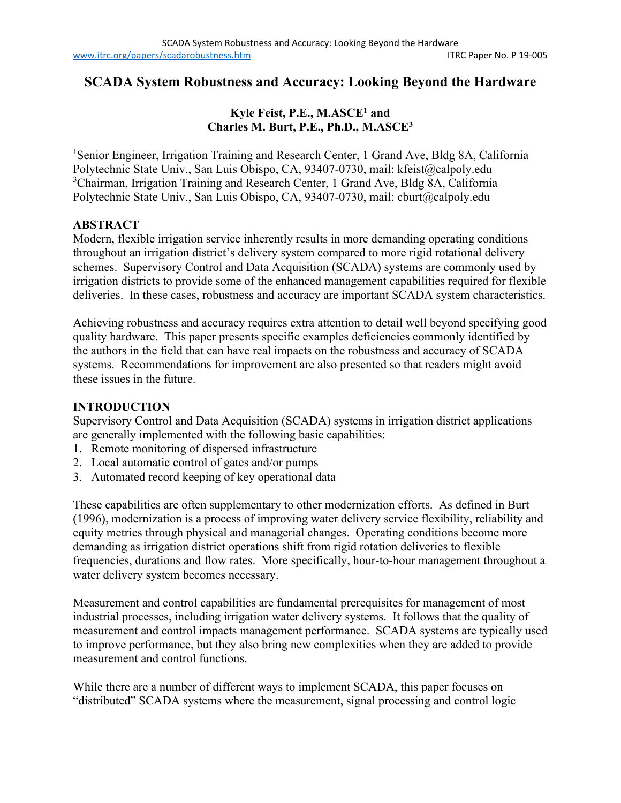# **SCADA System Robustness and Accuracy: Looking Beyond the Hardware**

## **Kyle Feist, P.E., M.ASCE1 and Charles M. Burt, P.E., Ph.D., M.ASCE3**

<sup>1</sup>Senior Engineer, Irrigation Training and Research Center, 1 Grand Ave, Bldg 8A, California Polytechnic State Univ., San Luis Obispo, CA, 93407-0730, mail: kfeist@calpoly.edu <sup>3</sup>Chairman, Irrigation Training and Research Center, 1 Grand Ave, Bldg 8A, California Polytechnic State Univ., San Luis Obispo, CA, 93407-0730, mail: cburt@calpoly.edu

## **ABSTRACT**

Modern, flexible irrigation service inherently results in more demanding operating conditions throughout an irrigation district's delivery system compared to more rigid rotational delivery schemes. Supervisory Control and Data Acquisition (SCADA) systems are commonly used by irrigation districts to provide some of the enhanced management capabilities required for flexible deliveries. In these cases, robustness and accuracy are important SCADA system characteristics.

Achieving robustness and accuracy requires extra attention to detail well beyond specifying good quality hardware. This paper presents specific examples deficiencies commonly identified by the authors in the field that can have real impacts on the robustness and accuracy of SCADA systems. Recommendations for improvement are also presented so that readers might avoid these issues in the future.

## **INTRODUCTION**

Supervisory Control and Data Acquisition (SCADA) systems in irrigation district applications are generally implemented with the following basic capabilities:

- 1. Remote monitoring of dispersed infrastructure
- 2. Local automatic control of gates and/or pumps
- 3. Automated record keeping of key operational data

These capabilities are often supplementary to other modernization efforts. As defined in Burt (1996), modernization is a process of improving water delivery service flexibility, reliability and equity metrics through physical and managerial changes. Operating conditions become more demanding as irrigation district operations shift from rigid rotation deliveries to flexible frequencies, durations and flow rates. More specifically, hour-to-hour management throughout a water delivery system becomes necessary.

Measurement and control capabilities are fundamental prerequisites for management of most industrial processes, including irrigation water delivery systems. It follows that the quality of measurement and control impacts management performance. SCADA systems are typically used to improve performance, but they also bring new complexities when they are added to provide measurement and control functions.

While there are a number of different ways to implement SCADA, this paper focuses on "distributed" SCADA systems where the measurement, signal processing and control logic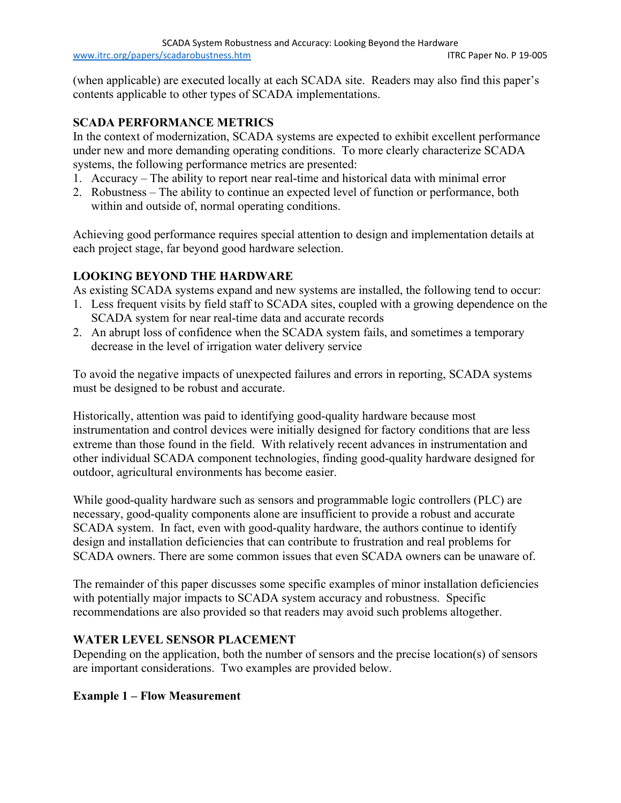(when applicable) are executed locally at each SCADA site. Readers may also find this paper's contents applicable to other types of SCADA implementations.

## **SCADA PERFORMANCE METRICS**

In the context of modernization, SCADA systems are expected to exhibit excellent performance under new and more demanding operating conditions. To more clearly characterize SCADA systems, the following performance metrics are presented:

- 1. Accuracy The ability to report near real-time and historical data with minimal error
- 2. Robustness The ability to continue an expected level of function or performance, both within and outside of, normal operating conditions.

Achieving good performance requires special attention to design and implementation details at each project stage, far beyond good hardware selection.

## **LOOKING BEYOND THE HARDWARE**

As existing SCADA systems expand and new systems are installed, the following tend to occur:

- 1. Less frequent visits by field staff to SCADA sites, coupled with a growing dependence on the SCADA system for near real-time data and accurate records
- 2. An abrupt loss of confidence when the SCADA system fails, and sometimes a temporary decrease in the level of irrigation water delivery service

To avoid the negative impacts of unexpected failures and errors in reporting, SCADA systems must be designed to be robust and accurate.

Historically, attention was paid to identifying good-quality hardware because most instrumentation and control devices were initially designed for factory conditions that are less extreme than those found in the field. With relatively recent advances in instrumentation and other individual SCADA component technologies, finding good-quality hardware designed for outdoor, agricultural environments has become easier.

While good-quality hardware such as sensors and programmable logic controllers (PLC) are necessary, good-quality components alone are insufficient to provide a robust and accurate SCADA system. In fact, even with good-quality hardware, the authors continue to identify design and installation deficiencies that can contribute to frustration and real problems for SCADA owners. There are some common issues that even SCADA owners can be unaware of.

The remainder of this paper discusses some specific examples of minor installation deficiencies with potentially major impacts to SCADA system accuracy and robustness. Specific recommendations are also provided so that readers may avoid such problems altogether.

## **WATER LEVEL SENSOR PLACEMENT**

Depending on the application, both the number of sensors and the precise location(s) of sensors are important considerations. Two examples are provided below.

## **Example 1 – Flow Measurement**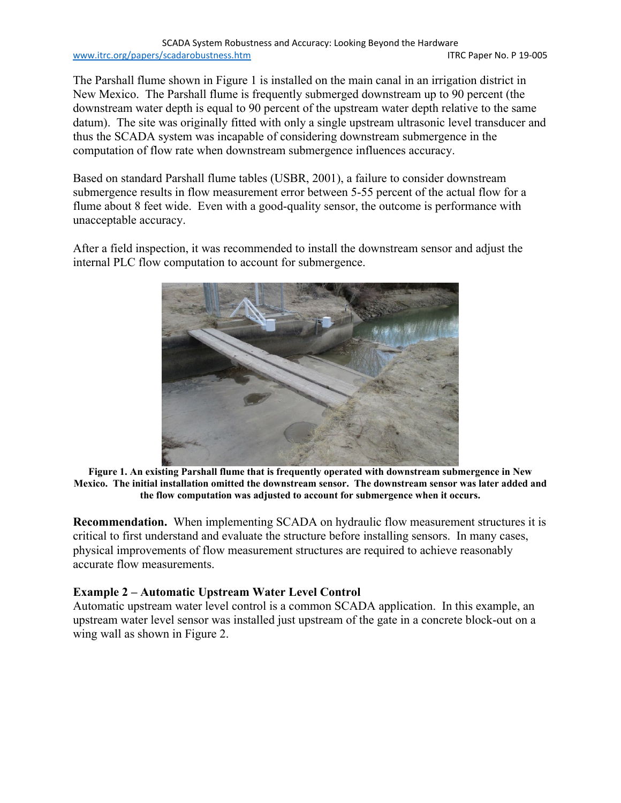#### SCADA System Robustness and Accuracy: Looking Beyond the Hardware [www.itrc.org/papers/scadarobustness.htm](http://www.itrc.org/papers/scadarobustness.htm) ITRC Paper No. P 19-005

The Parshall flume shown in [Figure 1](#page-2-0) is installed on the main canal in an irrigation district in New Mexico. The Parshall flume is frequently submerged downstream up to 90 percent (the downstream water depth is equal to 90 percent of the upstream water depth relative to the same datum). The site was originally fitted with only a single upstream ultrasonic level transducer and thus the SCADA system was incapable of considering downstream submergence in the computation of flow rate when downstream submergence influences accuracy.

Based on standard Parshall flume tables (USBR, 2001), a failure to consider downstream submergence results in flow measurement error between 5-55 percent of the actual flow for a flume about 8 feet wide. Even with a good-quality sensor, the outcome is performance with unacceptable accuracy.

After a field inspection, it was recommended to install the downstream sensor and adjust the internal PLC flow computation to account for submergence.



**Figure 1. An existing Parshall flume that is frequently operated with downstream submergence in New Mexico. The initial installation omitted the downstream sensor. The downstream sensor was later added and the flow computation was adjusted to account for submergence when it occurs.** 

<span id="page-2-0"></span>**Recommendation.** When implementing SCADA on hydraulic flow measurement structures it is critical to first understand and evaluate the structure before installing sensors. In many cases, physical improvements of flow measurement structures are required to achieve reasonably accurate flow measurements.

## **Example 2 – Automatic Upstream Water Level Control**

Automatic upstream water level control is a common SCADA application. In this example, an upstream water level sensor was installed just upstream of the gate in a concrete block-out on a wing wall as shown in [Figure 2.](#page-3-0)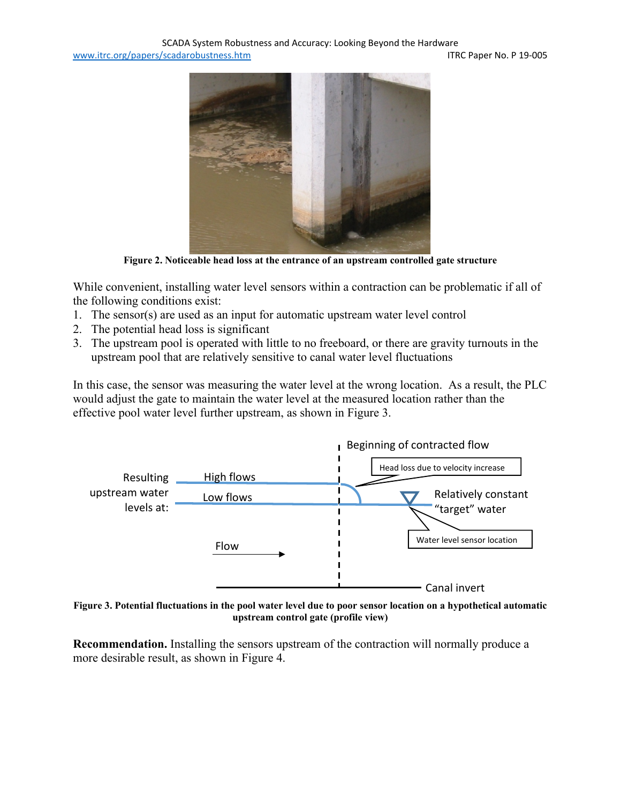

**Figure 2. Noticeable head loss at the entrance of an upstream controlled gate structure**

<span id="page-3-0"></span>While convenient, installing water level sensors within a contraction can be problematic if all of the following conditions exist:

- 1. The sensor(s) are used as an input for automatic upstream water level control
- 2. The potential head loss is significant
- 3. The upstream pool is operated with little to no freeboard, or there are gravity turnouts in the upstream pool that are relatively sensitive to canal water level fluctuations

In this case, the sensor was measuring the water level at the wrong location. As a result, the PLC would adjust the gate to maintain the water level at the measured location rather than the effective pool water level further upstream, as shown in [Figure 3.](#page-3-1)



<span id="page-3-1"></span>**Figure 3. Potential fluctuations in the pool water level due to poor sensor location on a hypothetical automatic upstream control gate (profile view)**

**Recommendation.** Installing the sensors upstream of the contraction will normally produce a more desirable result, as shown in [Figure 4.](#page-4-0)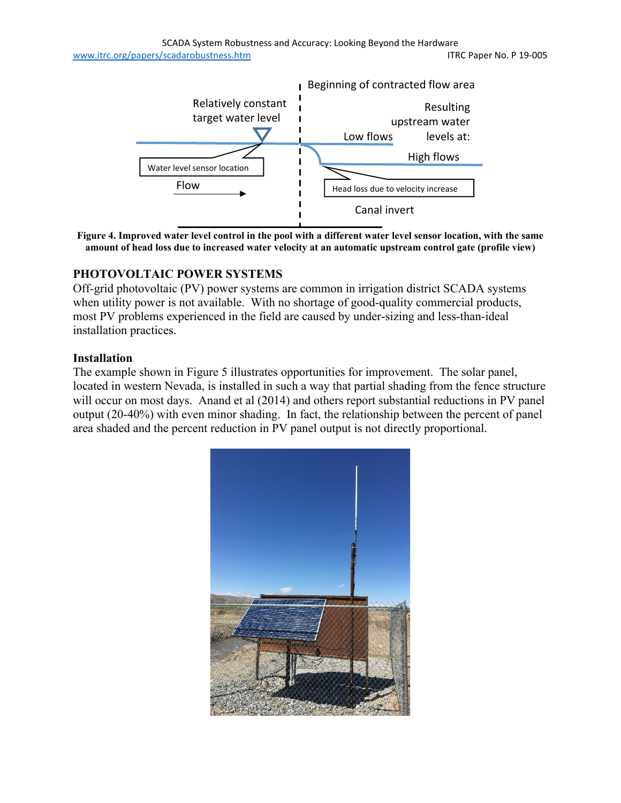

<span id="page-4-0"></span>**Figure 4. Improved water level control in the pool with a different water level sensor location, with the same amount of head loss due to increased water velocity at an automatic upstream control gate (profile view)**

## **PHOTOVOLTAIC POWER SYSTEMS**

Off-grid photovoltaic (PV) power systems are common in irrigation district SCADA systems when utility power is not available. With no shortage of good-quality commercial products, most PV problems experienced in the field are caused by under-sizing and less-than-ideal installation practices.

#### **Installation**

The example shown in [Figure 5](#page-5-0) illustrates opportunities for improvement. The solar panel, located in western Nevada, is installed in such a way that partial shading from the fence structure will occur on most days. Anand et al (2014) and others report substantial reductions in PV panel output (20-40%) with even minor shading. In fact, the relationship between the percent of panel area shaded and the percent reduction in PV panel output is not directly proportional.

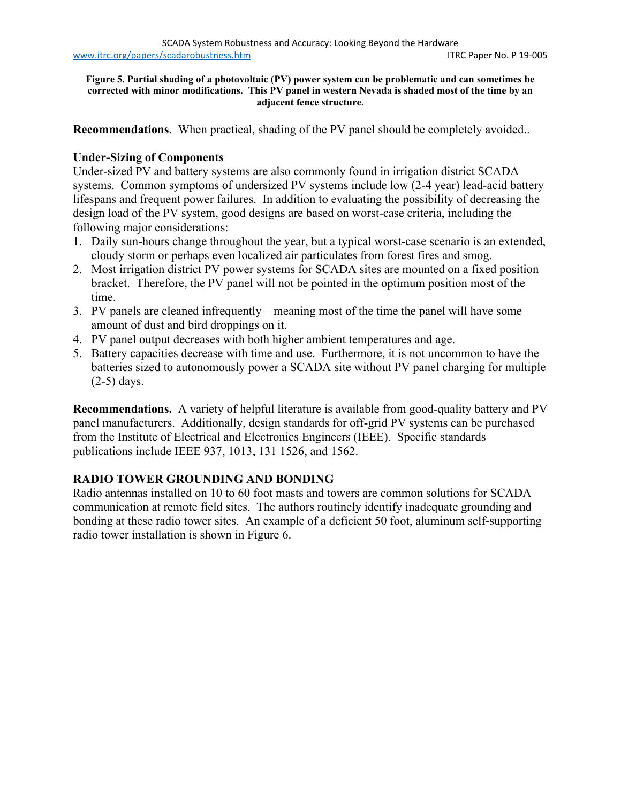<span id="page-5-0"></span>**Figure 5. Partial shading of a photovoltaic (PV) power system can be problematic and can sometimes be corrected with minor modifications. This PV panel in western Nevada is shaded most of the time by an adjacent fence structure.** 

**Recommendations**. When practical, shading of the PV panel should be completely avoided..

## **Under-Sizing of Components**

Under-sized PV and battery systems are also commonly found in irrigation district SCADA systems. Common symptoms of undersized PV systems include low (2-4 year) lead-acid battery lifespans and frequent power failures. In addition to evaluating the possibility of decreasing the design load of the PV system, good designs are based on worst-case criteria, including the following major considerations:

- 1. Daily sun-hours change throughout the year, but a typical worst-case scenario is an extended, cloudy storm or perhaps even localized air particulates from forest fires and smog.
- 2. Most irrigation district PV power systems for SCADA sites are mounted on a fixed position bracket. Therefore, the PV panel will not be pointed in the optimum position most of the time.
- 3. PV panels are cleaned infrequently meaning most of the time the panel will have some amount of dust and bird droppings on it.
- 4. PV panel output decreases with both higher ambient temperatures and age.
- 5. Battery capacities decrease with time and use. Furthermore, it is not uncommon to have the batteries sized to autonomously power a SCADA site without PV panel charging for multiple (2-5) days.

**Recommendations.** A variety of helpful literature is available from good-quality battery and PV panel manufacturers. Additionally, design standards for off-grid PV systems can be purchased from the Institute of Electrical and Electronics Engineers (IEEE). Specific standards publications include IEEE 937, 1013, 131 1526, and 1562.

## **RADIO TOWER GROUNDING AND BONDING**

Radio antennas installed on 10 to 60 foot masts and towers are common solutions for SCADA communication at remote field sites. The authors routinely identify inadequate grounding and bonding at these radio tower sites. An example of a deficient 50 foot, aluminum self-supporting radio tower installation is shown in [Figure 6.](#page-6-0)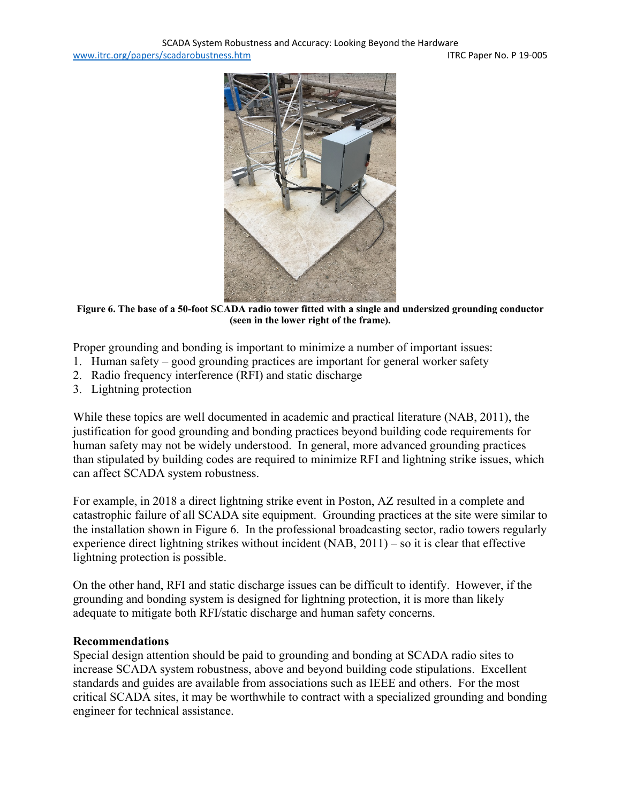

**Figure 6. The base of a 50-foot SCADA radio tower fitted with a single and undersized grounding conductor (seen in the lower right of the frame).**

<span id="page-6-0"></span>Proper grounding and bonding is important to minimize a number of important issues:

- 1. Human safety good grounding practices are important for general worker safety
- 2. Radio frequency interference (RFI) and static discharge
- 3. Lightning protection

While these topics are well documented in academic and practical literature (NAB, 2011), the justification for good grounding and bonding practices beyond building code requirements for human safety may not be widely understood. In general, more advanced grounding practices than stipulated by building codes are required to minimize RFI and lightning strike issues, which can affect SCADA system robustness.

For example, in 2018 a direct lightning strike event in Poston, AZ resulted in a complete and catastrophic failure of all SCADA site equipment. Grounding practices at the site were similar to the installation shown in [Figure 6.](#page-6-0) In the professional broadcasting sector, radio towers regularly experience direct lightning strikes without incident (NAB, 2011) – so it is clear that effective lightning protection is possible.

On the other hand, RFI and static discharge issues can be difficult to identify. However, if the grounding and bonding system is designed for lightning protection, it is more than likely adequate to mitigate both RFI/static discharge and human safety concerns.

## **Recommendations**

Special design attention should be paid to grounding and bonding at SCADA radio sites to increase SCADA system robustness, above and beyond building code stipulations. Excellent standards and guides are available from associations such as IEEE and others. For the most critical SCADA sites, it may be worthwhile to contract with a specialized grounding and bonding engineer for technical assistance.